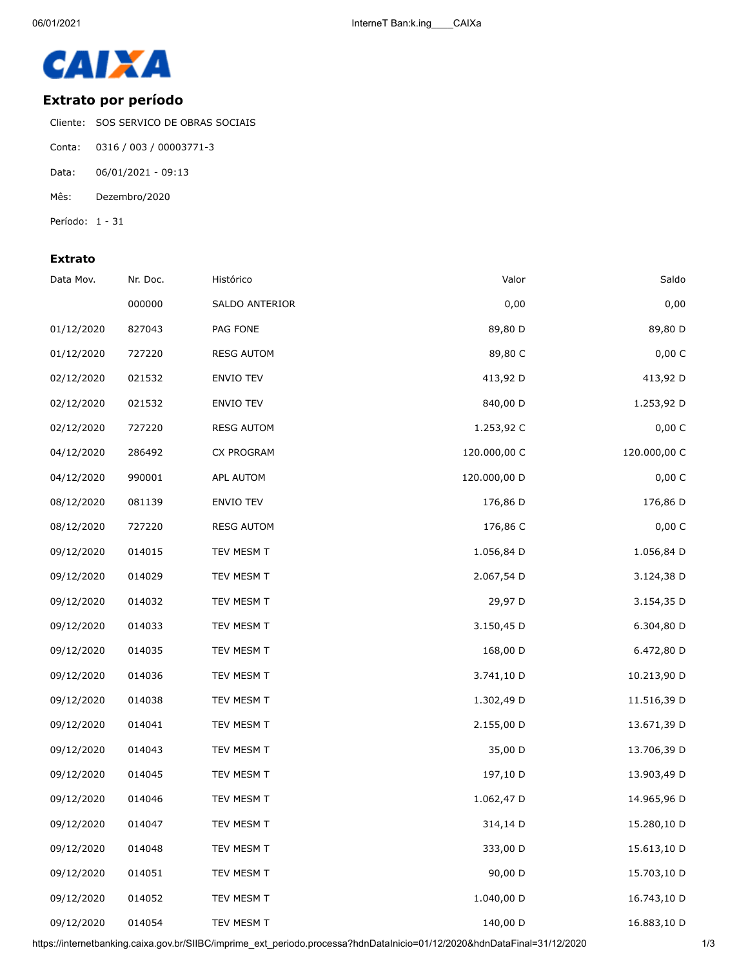

## **Extrato por período**

Cliente: SOS SERVICO DE OBRAS SOCIAIS

- Conta: 0316 / 003 / 00003771-3
- Data: 06/01/2021 09:13
- Mês: Dezembro/2020

Período: 1 - 31

## **Extrato**

| Data Mov.  | Nr. Doc. | Histórico         | Valor        | Saldo        |
|------------|----------|-------------------|--------------|--------------|
|            | 000000   | SALDO ANTERIOR    | 0,00         | 0,00         |
| 01/12/2020 | 827043   | PAG FONE          | 89,80 D      | 89,80 D      |
| 01/12/2020 | 727220   | <b>RESG AUTOM</b> | 89,80 C      | 0,00 C       |
| 02/12/2020 | 021532   | ENVIO TEV         | 413,92 D     | 413,92 D     |
| 02/12/2020 | 021532   | ENVIO TEV         | 840,00 D     | 1.253,92 D   |
| 02/12/2020 | 727220   | <b>RESG AUTOM</b> | 1.253,92 C   | 0,00 C       |
| 04/12/2020 | 286492   | CX PROGRAM        | 120.000,00 C | 120.000,00 C |
| 04/12/2020 | 990001   | APL AUTOM         | 120.000,00 D | 0,00 C       |
| 08/12/2020 | 081139   | ENVIO TEV         | 176,86 D     | 176,86 D     |
| 08/12/2020 | 727220   | <b>RESG AUTOM</b> | 176,86 C     | 0,00 C       |
| 09/12/2020 | 014015   | TEV MESM T        | 1.056,84 D   | 1.056,84 D   |
| 09/12/2020 | 014029   | TEV MESM T        | 2.067,54 D   | 3.124,38 D   |
| 09/12/2020 | 014032   | TEV MESM T        | 29,97 D      | 3.154,35 D   |
| 09/12/2020 | 014033   | TEV MESM T        | 3.150,45 D   | 6.304,80 D   |
| 09/12/2020 | 014035   | TEV MESM T        | 168,00 D     | 6.472,80 D   |
| 09/12/2020 | 014036   | TEV MESM T        | 3.741,10 D   | 10.213,90 D  |
| 09/12/2020 | 014038   | TEV MESM T        | 1.302,49 D   | 11.516,39 D  |
| 09/12/2020 | 014041   | TEV MESM T        | 2.155,00 D   | 13.671,39 D  |
| 09/12/2020 | 014043   | TEV MESM T        | 35,00 D      | 13.706,39 D  |
| 09/12/2020 | 014045   | TEV MESM T        | 197,10 D     | 13.903,49 D  |
| 09/12/2020 | 014046   | TEV MESM T        | 1.062,47 D   | 14.965,96 D  |
| 09/12/2020 | 014047   | TEV MESM T        | 314,14 D     | 15.280,10 D  |
| 09/12/2020 | 014048   | TEV MESM T        | 333,00 D     | 15.613,10 D  |
| 09/12/2020 | 014051   | TEV MESM T        | 90,00 D      | 15.703,10 D  |
| 09/12/2020 | 014052   | TEV MESM T        | 1.040,00 D   | 16.743,10 D  |
| 09/12/2020 | 014054   | TEV MESM T        | 140,00 D     | 16.883,10 D  |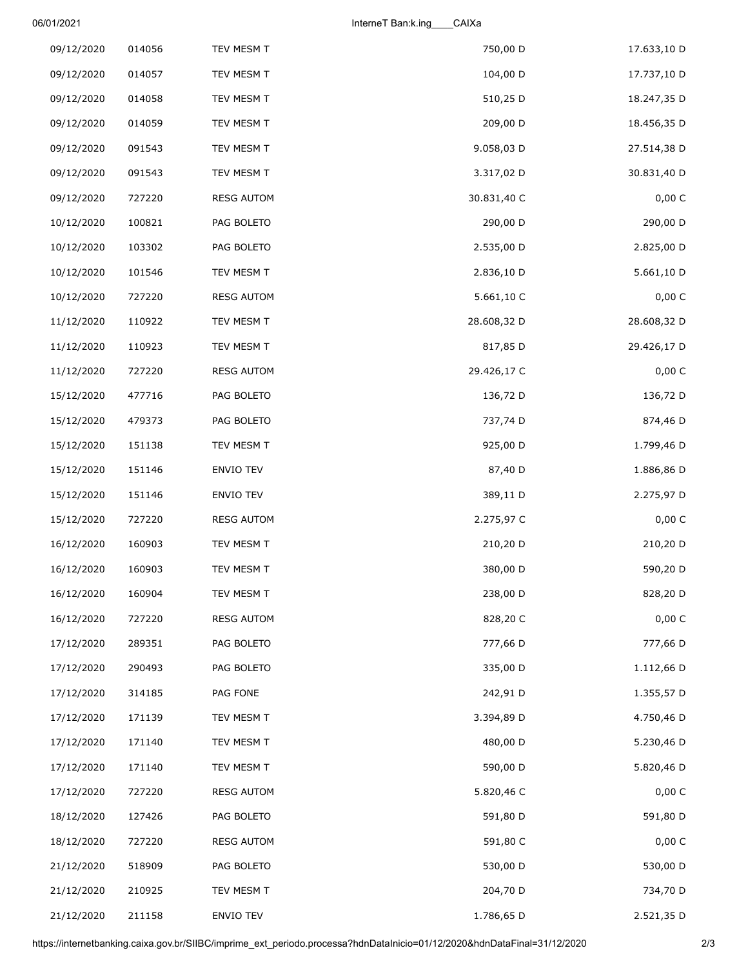06/01/2021 InterneT Ban:k.ing\_\_\_\_CAIXa

| 17.633,10 D | 750,00 D    | TEV MESM T        | 014056 | 09/12/2020 |
|-------------|-------------|-------------------|--------|------------|
| 17.737,10 D | 104,00 D    | TEV MESM T        | 014057 | 09/12/2020 |
| 18.247,35 D | 510,25 D    | TEV MESM T        | 014058 | 09/12/2020 |
| 18.456,35 D | 209,00 D    | TEV MESM T        | 014059 | 09/12/2020 |
| 27.514,38 D | 9.058,03 D  | TEV MESM T        | 091543 | 09/12/2020 |
| 30.831,40 D | 3.317,02 D  | TEV MESM T        | 091543 | 09/12/2020 |
| 0,00 C      | 30.831,40 C | <b>RESG AUTOM</b> | 727220 | 09/12/2020 |
| 290,00 D    | 290,00 D    | PAG BOLETO        | 100821 | 10/12/2020 |
| 2.825,00 D  | 2.535,00 D  | PAG BOLETO        | 103302 | 10/12/2020 |
| 5.661,10 D  | 2.836,10 D  | TEV MESM T        | 101546 | 10/12/2020 |
| 0,00 C      | 5.661,10 C  | <b>RESG AUTOM</b> | 727220 | 10/12/2020 |
| 28.608,32 D | 28.608,32 D | TEV MESM T        | 110922 | 11/12/2020 |
| 29.426,17 D | 817,85 D    | TEV MESM T        | 110923 | 11/12/2020 |
| 0,00 C      | 29.426,17 C | <b>RESG AUTOM</b> | 727220 | 11/12/2020 |
| 136,72 D    | 136,72 D    | PAG BOLETO        | 477716 | 15/12/2020 |
| 874,46 D    | 737,74 D    | PAG BOLETO        | 479373 | 15/12/2020 |
| 1.799,46 D  | 925,00 D    | TEV MESM T        | 151138 | 15/12/2020 |
| 1.886,86 D  | 87,40 D     | ENVIO TEV         | 151146 | 15/12/2020 |
| 2.275,97 D  | 389,11 D    | ENVIO TEV         | 151146 | 15/12/2020 |
| 0,00 C      | 2.275,97 C  | <b>RESG AUTOM</b> | 727220 | 15/12/2020 |
| 210,20 D    | 210,20 D    | TEV MESM T        | 160903 | 16/12/2020 |
| 590,20 D    | 380,00 D    | TEV MESM T        | 160903 | 16/12/2020 |
| 828,20 D    | 238,00 D    | TEV MESM T        | 160904 | 16/12/2020 |
| 0,00 C      | 828,20 C    | <b>RESG AUTOM</b> | 727220 | 16/12/2020 |
| 777,66 D    | 777,66 D    | PAG BOLETO        | 289351 | 17/12/2020 |
| 1.112,66 D  | 335,00 D    | PAG BOLETO        | 290493 | 17/12/2020 |
| 1.355,57 D  | 242,91 D    | PAG FONE          | 314185 | 17/12/2020 |
| 4.750,46 D  | 3.394,89 D  | TEV MESM T        | 171139 | 17/12/2020 |
| 5.230,46 D  | 480,00 D    | TEV MESM T        | 171140 | 17/12/2020 |
| 5.820,46 D  | 590,00 D    | TEV MESM T        | 171140 | 17/12/2020 |
| 0,00 C      | 5.820,46 C  | <b>RESG AUTOM</b> | 727220 | 17/12/2020 |
| 591,80 D    | 591,80 D    | PAG BOLETO        | 127426 | 18/12/2020 |
| 0,00 C      | 591,80 C    | <b>RESG AUTOM</b> | 727220 | 18/12/2020 |
| 530,00 D    | 530,00 D    | PAG BOLETO        | 518909 | 21/12/2020 |
| 734,70 D    | 204,70 D    | TEV MESM T        | 210925 | 21/12/2020 |
| 2.521,35 D  | 1.786,65 D  | ENVIO TEV         | 211158 | 21/12/2020 |